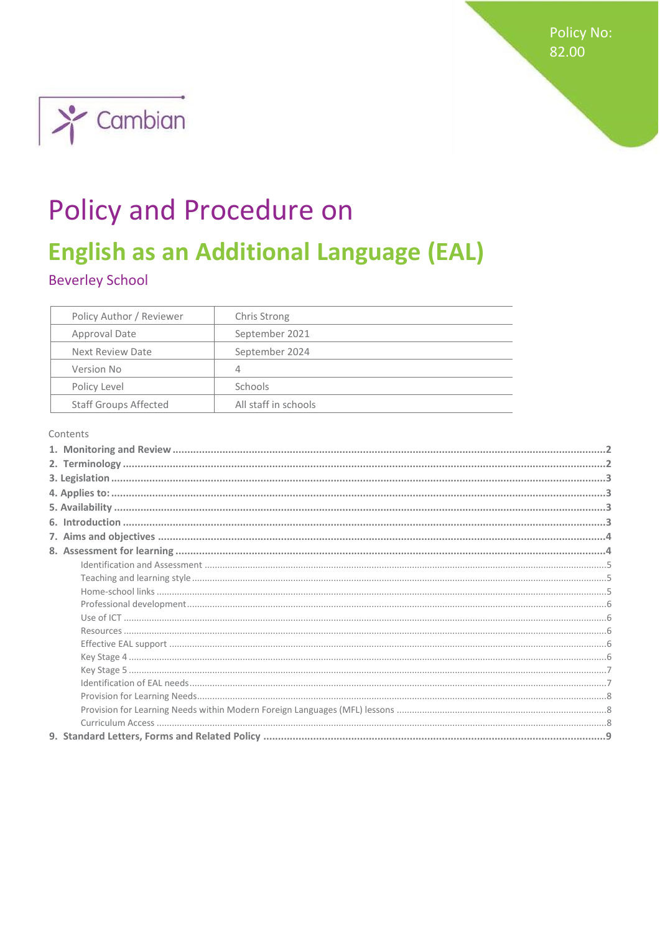Policy No: 82.00



# **Policy and Procedure on**

## **English as an Additional Language (EAL)**

**Beverley School** 

| Policy Author / Reviewer     | Chris Strong         |
|------------------------------|----------------------|
| Approval Date                | September 2021       |
| Next Review Date             | September 2024       |
| Version No                   | 4                    |
| Policy Level                 | Schools              |
| <b>Staff Groups Affected</b> | All staff in schools |

Contents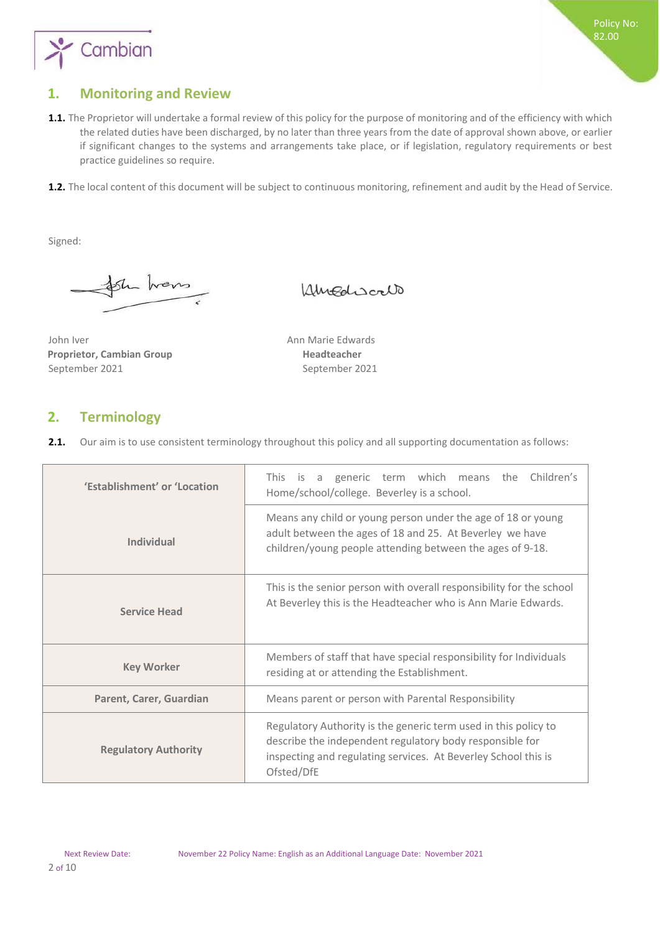

## <span id="page-1-0"></span>**1. Monitoring and Review**

- 1.1. The Proprietor will undertake a formal review of this policy for the purpose of monitoring and of the efficiency with which the related duties have been discharged, by no later than three years from the date of approval shown above, or earlier if significant changes to the systems and arrangements take place, or if legislation, regulatory requirements or best practice guidelines so require.
- **1.2.** The local content of this document will be subject to continuous monitoring, refinement and audit by the Head of Service.

Signed:

Sh hans

Amediscalo

John Iver **Announce Announce Announce** Announce Edwards **Proprietor, Cambian Group Theadteacher Readteacher** September 2021 September 2021

### <span id="page-1-1"></span>**2. Terminology**

**2.1.** Our aim is to use consistent terminology throughout this policy and all supporting documentation as follows:

| 'Establishment' or 'Location | generic term which means the Children's<br>This is a<br>Home/school/college. Beverley is a school.                                                                                                          |
|------------------------------|-------------------------------------------------------------------------------------------------------------------------------------------------------------------------------------------------------------|
| Individual                   | Means any child or young person under the age of 18 or young<br>adult between the ages of 18 and 25. At Beverley we have<br>children/young people attending between the ages of 9-18.                       |
| <b>Service Head</b>          | This is the senior person with overall responsibility for the school<br>At Beverley this is the Headteacher who is Ann Marie Edwards.                                                                       |
| <b>Key Worker</b>            | Members of staff that have special responsibility for Individuals<br>residing at or attending the Establishment.                                                                                            |
| Parent, Carer, Guardian      | Means parent or person with Parental Responsibility                                                                                                                                                         |
| <b>Regulatory Authority</b>  | Regulatory Authority is the generic term used in this policy to<br>describe the independent regulatory body responsible for<br>inspecting and regulating services. At Beverley School this is<br>Ofsted/DfE |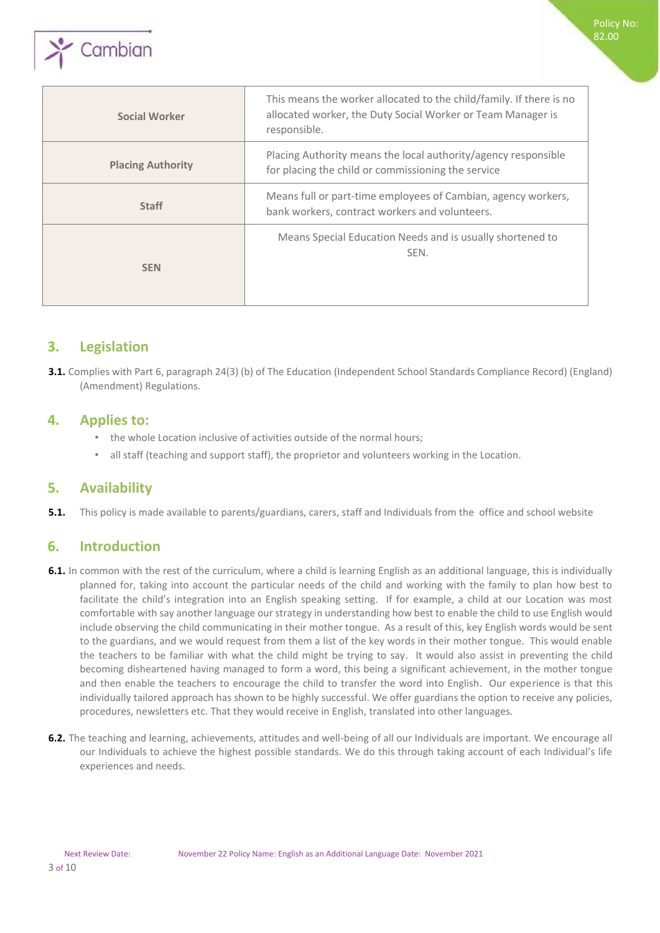

| Social Worker            | This means the worker allocated to the child/family. If there is no<br>allocated worker, the Duty Social Worker or Team Manager is<br>responsible. |
|--------------------------|----------------------------------------------------------------------------------------------------------------------------------------------------|
| <b>Placing Authority</b> | Placing Authority means the local authority/agency responsible<br>for placing the child or commissioning the service                               |
| <b>Staff</b>             | Means full or part-time employees of Cambian, agency workers,<br>bank workers, contract workers and volunteers.                                    |
| <b>SEN</b>               | Means Special Education Needs and is usually shortened to<br>SEN.                                                                                  |

Policy No: 82.00

## <span id="page-2-0"></span>**3. Legislation**

**3.1.** Complies with Part 6, paragraph 24(3) (b) of The Education (Independent School Standards Compliance Record) (England) (Amendment) Regulations.

## <span id="page-2-1"></span>**4. Applies to:**

- the whole Location inclusive of activities outside of the normal hours;
- all staff (teaching and support staff), the proprietor and volunteers working in the Location.

## <span id="page-2-2"></span>**5. Availability**

**5.1.** This policy is made available to parents/guardians, carers, staff and Individuals from the office and school website

## <span id="page-2-3"></span>**6. Introduction**

- **6.1.** In common with the rest of the curriculum, where a child is learning English as an additional language, this is individually planned for, taking into account the particular needs of the child and working with the family to plan how best to facilitate the child's integration into an English speaking setting. If for example, a child at our Location was most comfortable with say another language our strategy in understanding how best to enable the child to use English would include observing the child communicating in their mother tongue. As a result of this, key English words would be sent to the guardians, and we would request from them a list of the key words in their mother tongue. This would enable the teachers to be familiar with what the child might be trying to say. It would also assist in preventing the child becoming disheartened having managed to form a word, this being a significant achievement, in the mother tongue and then enable the teachers to encourage the child to transfer the word into English. Our experience is that this individually tailored approach has shown to be highly successful. We offer guardians the option to receive any policies, procedures, newsletters etc. That they would receive in English, translated into other languages.
- **6.2.** The teaching and learning, achievements, attitudes and well-being of all our Individuals are important. We encourage all our Individuals to achieve the highest possible standards. We do this through taking account of each Individual's life experiences and needs.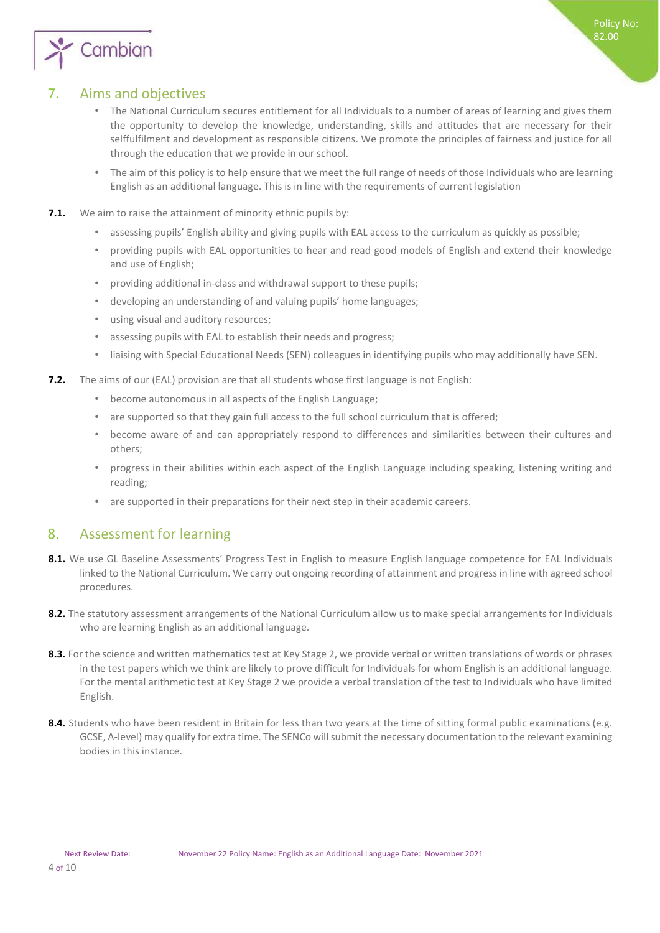

## <span id="page-3-0"></span>7. Aims and objectives

- The National Curriculum secures entitlement for all Individuals to a number of areas of learning and gives them the opportunity to develop the knowledge, understanding, skills and attitudes that are necessary for their selffulfilment and development as responsible citizens. We promote the principles of fairness and justice for all through the education that we provide in our school.
- The aim of this policy is to help ensure that we meet the full range of needs of those Individuals who are learning English as an additional language. This is in line with the requirements of current legislation
- **7.1.** We aim to raise the attainment of minority ethnic pupils by:
	- assessing pupils' English ability and giving pupils with EAL access to the curriculum as quickly as possible;
	- providing pupils with EAL opportunities to hear and read good models of English and extend their knowledge and use of English;
	- providing additional in-class and withdrawal support to these pupils;
	- developing an understanding of and valuing pupils' home languages;
	- using visual and auditory resources;
	- assessing pupils with EAL to establish their needs and progress;
	- liaising with Special Educational Needs (SEN) colleagues in identifying pupils who may additionally have SEN.
- **7.2.** The aims of our (EAL) provision are that all students whose first language is not English:
	- become autonomous in all aspects of the English Language;
	- are supported so that they gain full access to the full school curriculum that is offered;
	- become aware of and can appropriately respond to differences and similarities between their cultures and others;
	- progress in their abilities within each aspect of the English Language including speaking, listening writing and reading;
	- are supported in their preparations for their next step in their academic careers.

## <span id="page-3-1"></span>8. Assessment for learning

- 8.1. We use GL Baseline Assessments' Progress Test in English to measure English language competence for EAL Individuals linked to the National Curriculum. We carry out ongoing recording of attainment and progress in line with agreed school procedures.
- **8.2.** The statutory assessment arrangements of the National Curriculum allow us to make special arrangements for Individuals who are learning English as an additional language.
- **8.3.** For the science and written mathematics test at Key Stage 2, we provide verbal or written translations of words or phrases in the test papers which we think are likely to prove difficult for Individuals for whom English is an additional language. For the mental arithmetic test at Key Stage 2 we provide a verbal translation of the test to Individuals who have limited English.
- 8.4. Students who have been resident in Britain for less than two years at the time of sitting formal public examinations (e.g. GCSE, A-level) may qualify for extra time. The SENCo will submit the necessary documentation to the relevant examining bodies in this instance.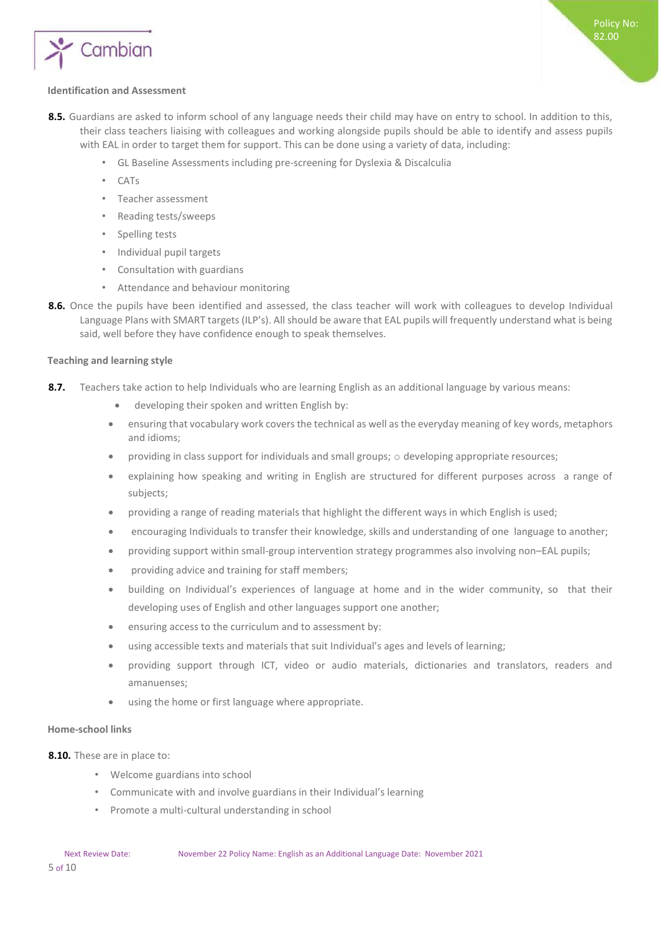

#### <span id="page-4-0"></span>**Identification and Assessment**

- **8.5.** Guardians are asked to inform school of any language needs their child may have on entry to school. In addition to this, their class teachers liaising with colleagues and working alongside pupils should be able to identify and assess pupils with EAL in order to target them for support. This can be done using a variety of data, including:
	- GL Baseline Assessments including pre-screening for Dyslexia & Discalculia
	- CATs
	- Teacher assessment
	- Reading tests/sweeps
	- Spelling tests
	- Individual pupil targets
	- Consultation with guardians
	- Attendance and behaviour monitoring
- **8.6.** Once the pupils have been identified and assessed, the class teacher will work with colleagues to develop Individual Language Plans with SMART targets (ILP's). All should be aware that EAL pupils will frequently understand what is being said, well before they have confidence enough to speak themselves.

#### <span id="page-4-1"></span>**Teaching and learning style**

- **8.7.** Teachers take action to help Individuals who are learning English as an additional language by various means:
	- developing their spoken and written English by:
	- ensuring that vocabulary work covers the technical as well as the everyday meaning of key words, metaphors and idioms;
	- providing in class support for individuals and small groups; o developing appropriate resources;
	- explaining how speaking and writing in English are structured for different purposes across a range of subjects;
	- providing a range of reading materials that highlight the different ways in which English is used;
	- encouraging Individuals to transfer their knowledge, skills and understanding of one language to another;
	- providing support within small-group intervention strategy programmes also involving non–EAL pupils;
	- providing advice and training for staff members;
	- building on Individual's experiences of language at home and in the wider community, so that their developing uses of English and other languages support one another;
	- ensuring access to the curriculum and to assessment by:
	- using accessible texts and materials that suit Individual's ages and levels of learning;
	- providing support through ICT, video or audio materials, dictionaries and translators, readers and amanuenses;
	- using the home or first language where appropriate.

#### <span id="page-4-2"></span>**Home-school links**

**8.10.** These are in place to:

- Welcome guardians into school
- Communicate with and involve guardians in their Individual's learning
- Promote a multi-cultural understanding in school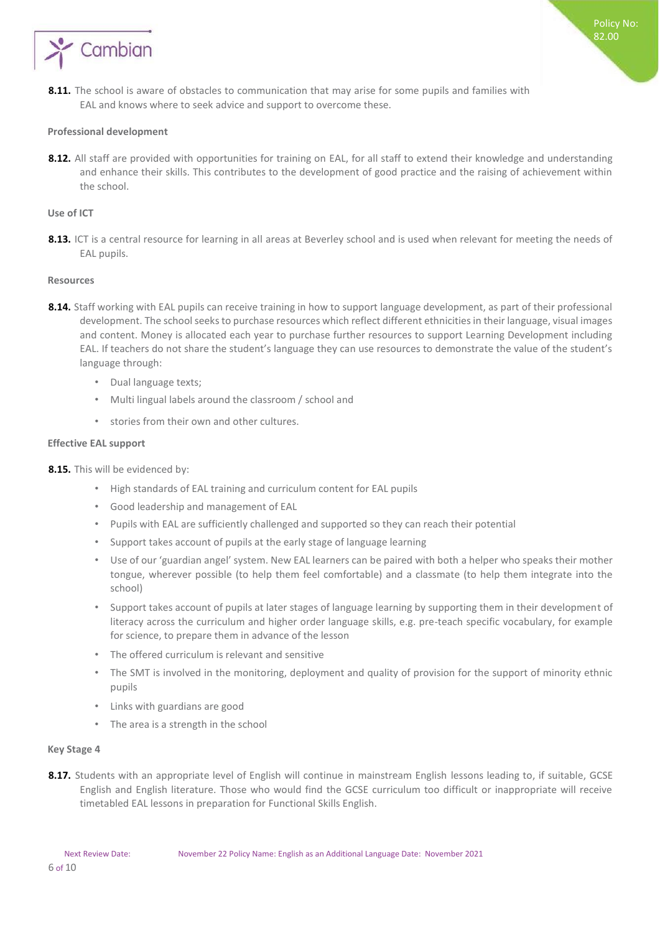

<span id="page-5-0"></span>8.11. The school is aware of obstacles to communication that may arise for some pupils and families with EAL and knows where to seek advice and support to overcome these.

#### **Professional development**

**8.12.** All staff are provided with opportunities for training on EAL, for all staff to extend their knowledge and understanding and enhance their skills. This contributes to the development of good practice and the raising of achievement within the school.

#### <span id="page-5-1"></span>**Use of ICT**

8.13. ICT is a central resource for learning in all areas at Beverley school and is used when relevant for meeting the needs of EAL pupils.

#### <span id="page-5-2"></span>**Resources**

- **8.14.** Staff working with EAL pupils can receive training in how to support language development, as part of their professional development. The school seeks to purchase resources which reflect different ethnicities in their language, visual images and content. Money is allocated each year to purchase further resources to support Learning Development including EAL. If teachers do not share the student's language they can use resources to demonstrate the value of the student's language through:
	- Dual language texts;
	- Multi lingual labels around the classroom / school and
	- stories from their own and other cultures.

#### <span id="page-5-3"></span>**Effective EAL support**

- **8.15.** This will be evidenced by:
	- High standards of EAL training and curriculum content for EAL pupils
	- Good leadership and management of EAL
	- Pupils with EAL are sufficiently challenged and supported so they can reach their potential
	- Support takes account of pupils at the early stage of language learning
	- Use of our 'guardian angel' system. New EAL learners can be paired with both a helper who speaks their mother tongue, wherever possible (to help them feel comfortable) and a classmate (to help them integrate into the school)
	- Support takes account of pupils at later stages of language learning by supporting them in their development of literacy across the curriculum and higher order language skills, e.g. pre-teach specific vocabulary, for example for science, to prepare them in advance of the lesson
	- The offered curriculum is relevant and sensitive
	- The SMT is involved in the monitoring, deployment and quality of provision for the support of minority ethnic pupils
	- Links with guardians are good
	- The area is a strength in the school

#### <span id="page-5-4"></span>**Key Stage 4**

8.17. Students with an appropriate level of English will continue in mainstream English lessons leading to, if suitable, GCSE English and English literature. Those who would find the GCSE curriculum too difficult or inappropriate will receive timetabled EAL lessons in preparation for Functional Skills English.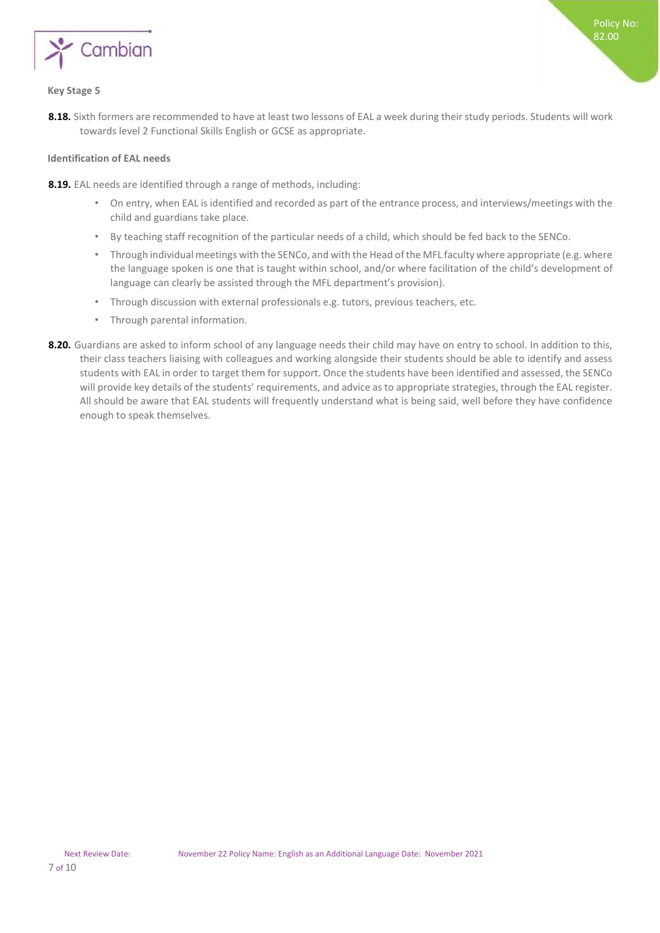

#### <span id="page-6-0"></span>**Key Stage 5**

**8.18.** Sixth formers are recommended to have at least two lessons of EAL a week during their study periods. Students will work towards level 2 Functional Skills English or GCSE as appropriate.

#### <span id="page-6-1"></span>**Identification of EAL needs**

**8.19.** EAL needs are identified through a range of methods, including:

- On entry, when EAL is identified and recorded as part of the entrance process, and interviews/meetings with the child and guardians take place.
- By teaching staff recognition of the particular needs of a child, which should be fed back to the SENCo.
- Through individual meetings with the SENCo, and with the Head of the MFL faculty where appropriate (e.g. where the language spoken is one that is taught within school, and/or where facilitation of the child's development of language can clearly be assisted through the MFL department's provision).
- Through discussion with external professionals e.g. tutors, previous teachers, etc.
- Through parental information.
- **8.20.** Guardians are asked to inform school of any language needs their child may have on entry to school. In addition to this, their class teachers liaising with colleagues and working alongside their students should be able to identify and assess students with EAL in order to target them for support. Once the students have been identified and assessed, the SENCo will provide key details of the students' requirements, and advice as to appropriate strategies, through the EAL register. All should be aware that EAL students will frequently understand what is being said, well before they have confidence enough to speak themselves.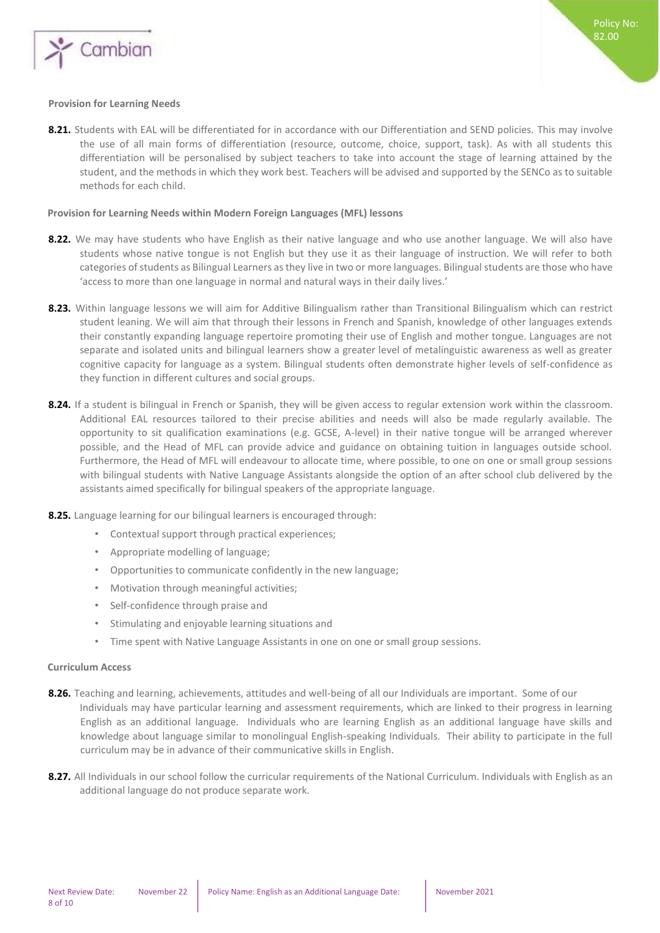

#### <span id="page-7-0"></span>**Provision for Learning Needs**

**8.21.** Students with EAL will be differentiated for in accordance with our Differentiation and SEND policies. This may involve the use of all main forms of differentiation (resource, outcome, choice, support, task). As with all students this differentiation will be personalised by subject teachers to take into account the stage of learning attained by the student, and the methods in which they work best. Teachers will be advised and supported by the SENCo as to suitable methods for each child.

#### <span id="page-7-1"></span>**Provision for Learning Needs within Modern Foreign Languages (MFL) lessons**

- 8.22. We may have students who have English as their native language and who use another language. We will also have students whose native tongue is not English but they use it as their language of instruction. We will refer to both categories of students as Bilingual Learners as they live in two or more languages. Bilingual students are those who have 'access to more than one language in normal and natural ways in their daily lives.'
- **8.23.** Within language lessons we will aim for Additive Bilingualism rather than Transitional Bilingualism which can restrict student leaning. We will aim that through their lessons in French and Spanish, knowledge of other languages extends their constantly expanding language repertoire promoting their use of English and mother tongue. Languages are not separate and isolated units and bilingual learners show a greater level of metalinguistic awareness as well as greater cognitive capacity for language as a system. Bilingual students often demonstrate higher levels of self-confidence as they function in different cultures and social groups.
- **8.24.** If a student is bilingual in French or Spanish, they will be given access to regular extension work within the classroom. Additional EAL resources tailored to their precise abilities and needs will also be made regularly available. The opportunity to sit qualification examinations (e.g. GCSE, A-level) in their native tongue will be arranged wherever possible, and the Head of MFL can provide advice and guidance on obtaining tuition in languages outside school. Furthermore, the Head of MFL will endeavour to allocate time, where possible, to one on one or small group sessions with bilingual students with Native Language Assistants alongside the option of an after school club delivered by the assistants aimed specifically for bilingual speakers of the appropriate language.
- **8.25.** Language learning for our bilingual learners is encouraged through:
	- Contextual support through practical experiences;
	- Appropriate modelling of language;
	- Opportunities to communicate confidently in the new language;
	- Motivation through meaningful activities;
	- Self-confidence through praise and
	- Stimulating and enjoyable learning situations and
	- Time spent with Native Language Assistants in one on one or small group sessions.

#### <span id="page-7-2"></span>**Curriculum Access**

- **8.26.** Teaching and learning, achievements, attitudes and well-being of all our Individuals are important. Some of our Individuals may have particular learning and assessment requirements, which are linked to their progress in learning English as an additional language. Individuals who are learning English as an additional language have skills and knowledge about language similar to monolingual English-speaking Individuals. Their ability to participate in the full curriculum may be in advance of their communicative skills in English.
- **8.27.** All Individuals in our school follow the curricular requirements of the National Curriculum. Individuals with English as an additional language do not produce separate work.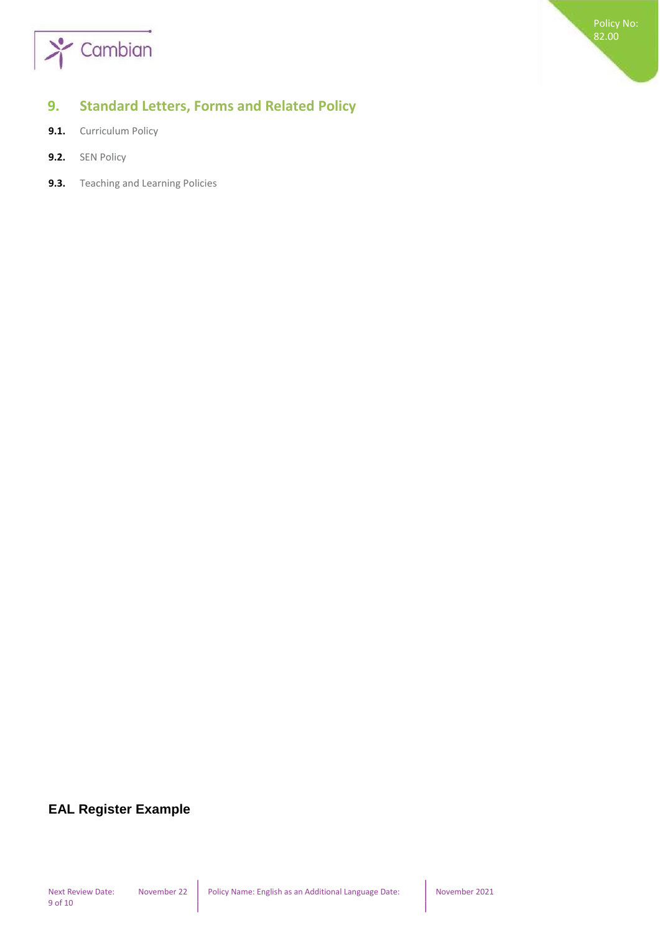

## <span id="page-8-0"></span>**9. Standard Letters, Forms and Related Policy**

- **9.1.** Curriculum Policy
- **9.2.** SEN Policy
- **9.3.** Teaching and Learning Policies

## **EAL Register Example**